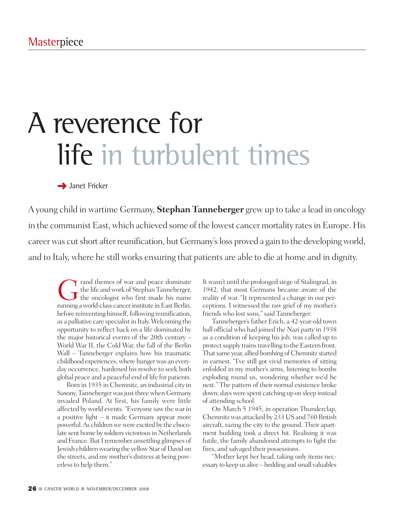# A reverence for life in turbulent times

**→** Janet Fricker

A young child in wartime Germany, **Stephan Tanneberger** grew up to take a lead in oncology in the communist East, which achieved some of the lowest cancer mortality rates in Europe. His career was cut short after reunification, but Germany's loss proved a gain to the developing world, and to Italy, where he still works ensuring that patients are able to die at home and in dignity.

Trand themes of war and peace dominate<br>the life and work of Stephan Tanneberger,<br>the oncologist who first made his name the life andwork of Stephan Tanneberger, the oncologist who first made his name running a world-class cancer institute in East Berlin, before reinventing himself, following reunification, as a palliative care specialistin Italy.Welcoming the opportunity to reflect back on a life dominated by the major historical events of the 20th century – World War II, the Cold War, the fall of the Berlin Wall – Tanneberger explains how his traumatic childhood experiences, where hunger was an everyday occurrence, hardened his resolve to seek both global peace and a peaceful end of life for patients.

Born in 1935 in Chemnitz, an industrial city in Saxony, Tanneberger was just three when Germany invaded Poland. At first, his family were little affected byworld events."Everyone sawthewarin a positive light – it made Germany appear more powerful. As children we were excited by the chocolate sent home by soldiers victorious in Netherlands and France. But I remember unsettling glimpses of Jewish children wearing the yellow Star of David on the streets, and my mother's distress at being powerlessto help them."

It wasn't until the prolonged siege of Stalingrad, in 1942, that most Germans became aware of the reality of war. "It represented a change in our perceptions. I witnessed the raw grief of my mother's friends who lost sons," said Tanneberger.

Tanneberger's father Erich, a 42-year-old town hall official who had joined the Nazi party in 1938 as a condition of keeping his job, was called up to protect supply trains travelling to the Eastern front. That same year, allied bombing of Chemnitz started in earnest. "I've still got vivid memories of sitting enfolded in my mother's arms, listening to bombs exploding round us, wondering whether we'd be next." The pattern of their normal existence broke down; days were spent catching up on sleep instead of attending school.

On March 5 1945, in operation Thunderclap, Chemnitzwas attacked by 233 US and 760 British aircraft, razing the city to the ground. Their apartment building took a direct hit. Realising it was futile, the family abandoned attempts to fight the fires, and salvaged their possessions.

"Mother kept her head, taking only items necessary to keep us alive – bedding and small valuables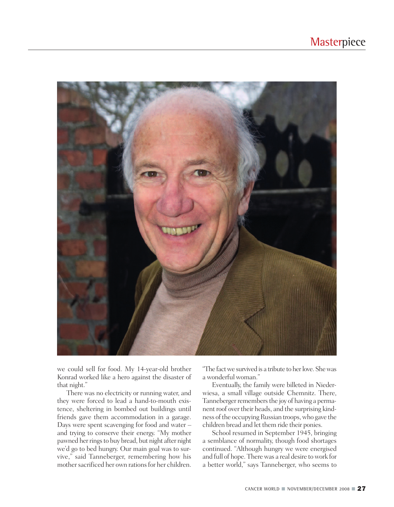

we could sell for food. My 14-year-old brother Konrad worked like a hero against the disaster of that night."

There was no electricity or running water, and they were forced to lead a hand-to-mouth existence, sheltering in bombed out buildings until friends gave them accommodation in a garage. Days were spent scavenging for food and water – and trying to conserve their energy. "My mother pawned her rings to buy bread, but night after night we'd go to bed hungry. Our main goal was to survive," said Tanneberger, remembering how his mother sacrificed her own rations for her children.

"The factwe survived is a tribute to herlove. Shewas a wonderful woman."

Eventually, the family were billeted in Niederwiesa, a small village outside Chemnitz. There, Tanneberger remembers the joy of having a permanent roof over their heads, and the surprising kindness of the occupying Russian troops, who gave the children bread and let them ride their ponies.

School resumed in September 1945, bringing a semblance of normality, though food shortages continued. "Although hungry we were energised and full of hope. Therewas a real desire towork for a better world," says Tanneberger, who seems to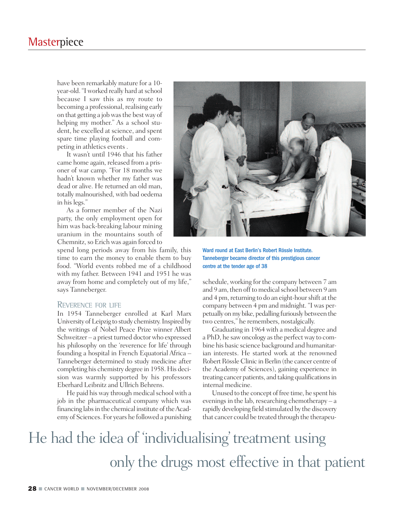have been remarkably mature for a 10 year-old. "Iworked really hard atschool because I saw this as my route to becoming a professional, realising early on that getting a job was the best way of helping my mother." As a school student, he excelled at science, and spent spare time playing football and competing in athletics events .

It wasn't until 1946 that his father came home again, released from a prisoner of war camp. "For 18 months we hadn't known whether my father was dead or alive. He returned an old man, totally malnourished, with bad oedema in hislegs."

As a former member of the Nazi party, the only employment open for him was back-breaking labour mining uranium in the mountains south of Chemnitz, so Erich was again forced to

spend long periods away from his family, this time to earn the money to enable them to buy food. "World events robbed me of a childhood with my father. Between 1941 and 1951 he was away from home and completely out of my life," says Tanneberger.

### REVERENCE FOR LIFE

In 1954 Tanneberger enrolled at Karl Marx University of Leipzig to study chemistry. Inspired by the writings of Nobel Peace Prize winner Albert Schweitzer – a priest turned doctor who expressed his philosophy on the 'reverence for life' through founding a hospital in French Equatorial Africa – Tanneberger determined to study medicine after completing his chemistry degree in 1958.His decision was warmly supported by his professors Eberhard Leibnitz and Ullrich Behrens.

He paid his way through medical school with a job in the pharmaceutical company which was financing labs in the chemical institute of the Academy of Sciences. For years he followed a punishing



Ward round at East Berlin's Robert Rössle Institute. Tanneberger became director of this prestigious cancer centre at the tender age of 38

schedule, working for the company between 7 am and 9 am, then off to medical school between 9 am and 4 pm, returning to do an eight-hour shift at the company between 4 pm and midnight. "I was perpetually onmy bike, pedalling furiously between the two centres," he remembers, nostalgically.

Graduating in 1964 with a medical degree and a PhD, he sawoncology asthe perfectway to combine his basic science background and humanitarian interests. He started work at the renowned Robert Rössle Clinic in Berlin (the cancer centre of the Academy of Sciences), gaining experience in treating cancer patients, and taking qualifications in internal medicine.

Unused to the concept of free time, he spent his evenings in the lab, researching chemotherapy – a rapidly developing field stimulated by the discovery that cancer could be treated through the therapeu-

# He had the idea of 'individualising' treatment using only the drugs most effective in that patient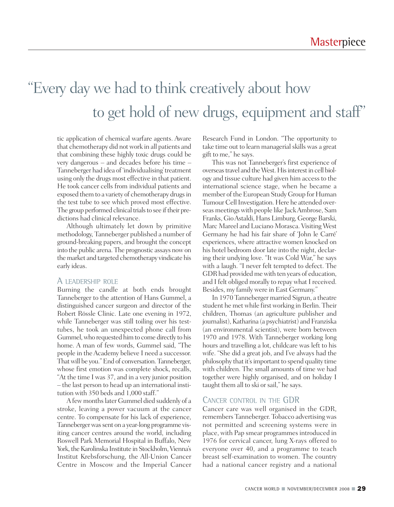# "Every day we had to think creatively about how to get hold of new drugs, equipment and staff"

tic application of chemical warfare agents. Aware that chemotherapy did notwork in all patients and that combining these highly toxic drugs could be very dangerous – and decades before his time – Tanneberger had idea of 'individualising'treatment using only the drugs most effective in that patient. He took cancer cells from individual patients and exposed them to a variety of chemotherapy drugs in the test tube to see which proved most effective. The group performed clinical trials to see if their predictions had clinical relevance.

Although ultimately let down by primitive methodology, Tanneberger published a number of ground-breaking papers, and brought the concept into the public arena.The prognostic assays nowon the market and targeted chemotherapy vindicate his early ideas.

### A LEADERSHIP ROLE

Burning the candle at both ends brought Tanneberger to the attention of Hans Gummel, a distinguished cancer surgeon and director of the Robert Rössle Clinic. Late one evening in 1972, while Tanneberger was still toiling over his testtubes, he took an unexpected phone call from Gummel,who requested himto come directly to his home. A man of few words, Gummel said, "The people in theAcademy believe I need a successor. Thatwill be you."End of conversation.Tanneberger, whose first emotion was complete shock, recalls, "At the time I was 37, and in a very junior position – the last person to head up an international institution with 350 beds and 1,000 staff."

Afewmonthslater Gummel died suddenly of a stroke, leaving a power vacuum at the cancer centre. To compensate for his lack of experience, Tanneberger was sent on a year-long programme visiting cancer centres around the world, including Roswell Park Memorial Hospital in Buffalo, New York, the Karolinska Institute in Stockholm, Vienna's Institut Krebsforschung, the All-Union Cancer Centre in Moscow and the Imperial Cancer

Research Fund in London. "The opportunity to take time out to learn managerial skills was a great gift to me," he says.

This was not Tanneberger's first experience of overseas travel and the West. His interest in cell biology and tissue culture had given him accessto the international science stage, when he became a member of the European Study Group for Human Tumour Cell Investigation. Here he attended overseas meetingswith people like JackAmbrose, Sam Franks, Gio Astaldi, Hans Limburg, George Barski, Marc Mareel and Luciano Morasca. Visiting West Germany he had his fair share of 'John le Carré' experiences, where attractive women knocked on his hotel bedroom door late into the night, declaring their undying love. "It was Cold War," he says with a laugh. "I never felt tempted to defect. The GDR had provided me with ten years of education, and I felt obliged morally to repay what I received. Besides, my family were in East Germany."

In 1970 Tanneberger married Sigrun, a theatre student he met while first working in Berlin. Their children, Thomas (an agriculture publisher and journalist), Katharina (a psychiatrist) and Franziska (an environmental scientist), were born between 1970 and 1978. With Tanneberger working long hours and travelling a lot, childcare was left to his wife. "She did a great job, and I've always had the philosophy that it'simportant to spend quality time with children. The small amounts of time we had together were highly organised, and on holiday I taught them all to ski or sail," he says.

### CANCER CONTROL IN THE GDR

Cancer care was well organised in the GDR, remembers Tanneberger. Tobacco advertising was not permitted and screening systems were in place, with Pap smear programmesintroduced in 1976 for cervical cancer, lung X-rays offered to everyone over 40, and a programme to teach breast self-examination to women. The country had a national cancer registry and a national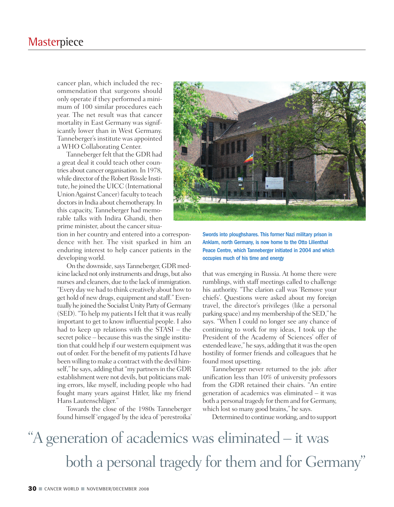cancer plan, which included the recommendation that surgeons should only operate if they performed a minimum of 100 similar procedures each year. The net result was that cancer mortality in East Germany was significantly lower than in West Germany. Tanneberger's institute was appointed a WHO Collaborating Center.

Tanneberger felt that the GDR had a great deal it could teach other countries about cancer organisation.In 1978, while director of the Robert Rössle Institute, he joined the UICC (International UnionAgainst Cancer) faculty to teach doctors in India about chemotherapy. In this capacity, Tanneberger had memorable talks with Indira Ghandi, then prime minister, about the cancer situa-

tion in her country and entered into a correspondence with her. The visit sparked in him an enduring interest to help cancer patients in the developing world.

On the downside, says Tanneberger, GDR medicine lacked not only instruments and drugs, but also nurses and cleaners, due to the lack of immigration. "Every day we had to think creatively about how to get hold of newdrugs, equipment and staff."Eventually he joined the Socialist Unity Party of Germany (SED). "To help my patients I felt that it was really important to get to know influential people. I also had to keep up relations with the STASI – the secret police – because this was the single institution that could help if our western equipment was out of order. For the benefit of my patients I'd have been willing to make a contract with the devil himself," he says, adding that "my partners in the GDR establishment were not devils, but politicians making errors, like myself, including people who had fought many years against Hitler, like my friend Hans Lautenschläger."

Towards the close of the 1980s Tanneberger found himself 'engaged' by the idea of 'perestroika'



Swords into ploughshares. This former Nazi military prison in Anklam, north Germany, is now home to the Otto Lilienthal Peace Centre, which Tanneberger initiated in 2004 and which occupies much of his time and energy

that was emerging in Russia. At home there were rumblings, with staff meetings called to challenge his authority. "The clarion call was 'Remove your chiefs'. Questions were asked about my foreign travel, the director's privileges (like a personal parking space) and my membership of the SED," he says. "When I could no longer see any chance of continuing to work for my ideas, I took up the President of the Academy of Sciences' offer of extended leave," he says, adding that it was the open hostility of former friends and colleagues that he found most upsetting.

Tanneberger never returned to the job: after unification less than 10% of university professors from the GDR retained their chairs. "An entire generation of academics was eliminated – it was both a personal tragedy for them and for Germany, which lost so many good brains," he says.

Determined to continueworking, and to support

# "A generation of academics was eliminated – it was both a personal tragedy for them and for Germany "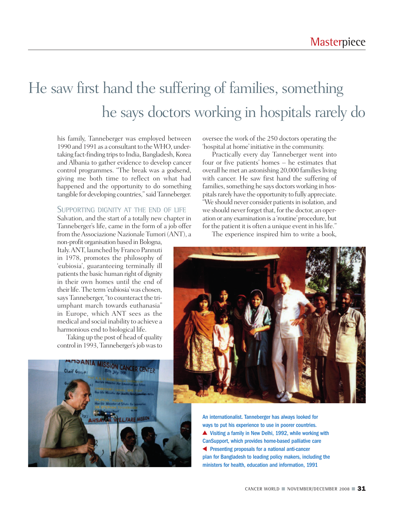### He saw first hand the suffering of families, something he says doctors working in hospitals rarely do

his family, Tanneberger was employed between 1990 and 1991 as a consultant to the WHO, undertaking fact-finding trips to India, Bangladesh, Korea and Albania to gather evidence to develop cancer control programmes. "The break was a godsend, giving me both time to reflect on what had happened and the opportunity to do something tangible for developing countries,"saidTanneberger.

#### SUPPORTING DIGNITY AT THE END OF LIFE

Salvation, and the start of a totally new chapter in Tanneberger's life, came in the form of a job offer from theAssociazione Nazionale Tumori (ANT), a

non-profit organisation based in Bologna, Italy.ANT, launched by Franco Pannuti in 1978, promotes the philosophy of 'eubiosia', guaranteeing terminally ill patients the basic human right of dignity in their own homes until the end of their life. The term 'eubiosia' was chosen, says Tanneberger, "to counteract the triumphant march towards euthanasia" in Europe, which ANT sees as the medical and social inability to achieve a harmonious end to biological life.

Taking up the post of head of quality control in 1993, Tanneberger's job was to oversee the work of the 250 doctors operating the 'hospital at home' initiative in the community.

Practically every day Tanneberger went into four or five patients' homes – he estimates that overall hemet an astonishing 20,000 families living with cancer. He saw first hand the suffering of families, something he says doctors working in hospitals rarely have the opportunity to fully appreciate. "We should never consider patients in isolation, and we should never forget that, for the doctor, an operation or any examination is a 'routine'procedure, but for the patient it is often a unique event in his life."

The experience inspired him to write a book,